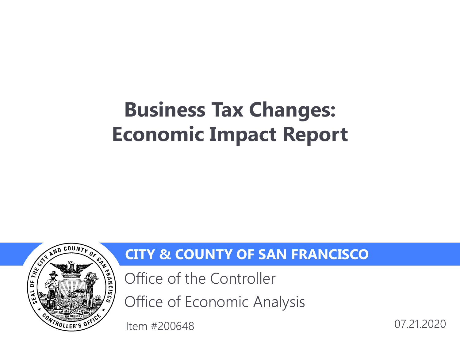# **Business Tax Changes: Economic Impact Report**



#### **CITY & COUNTY OF SAN FRANCISCO**

Office of the Controller

Office of Economic Analysis

Item #200648 07.21.2020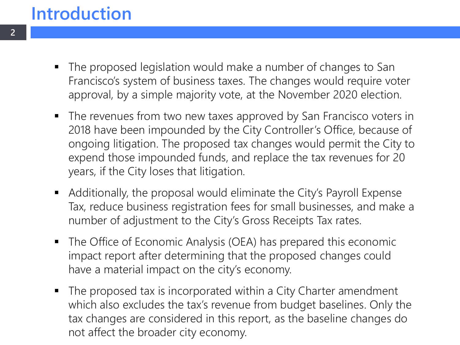### **Introduction**

- The proposed legislation would make a number of changes to San Francisco's system of business taxes. The changes would require voter approval, by a simple majority vote, at the November 2020 election.
- The revenues from two new taxes approved by San Francisco voters in 2018 have been impounded by the City Controller's Office, because of ongoing litigation. The proposed tax changes would permit the City to expend those impounded funds, and replace the tax revenues for 20 years, if the City loses that litigation.
- Additionally, the proposal would eliminate the City's Payroll Expense Tax, reduce business registration fees for small businesses, and make a number of adjustment to the City's Gross Receipts Tax rates.
- The Office of Economic Analysis (OEA) has prepared this economic impact report after determining that the proposed changes could have a material impact on the city's economy.
- The proposed tax is incorporated within a City Charter amendment which also excludes the tax's revenue from budget baselines. Only the tax changes are considered in this report, as the baseline changes do not affect the broader city economy.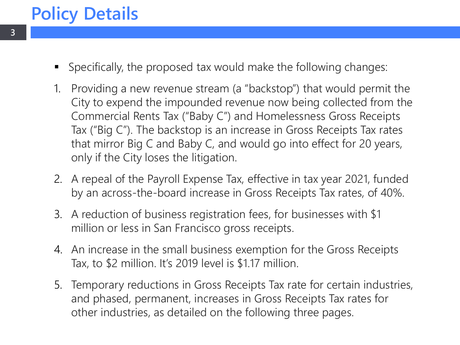### **Policy Details**

- Specifically, the proposed tax would make the following changes:
- 1. Providing a new revenue stream (a "backstop") that would permit the City to expend the impounded revenue now being collected from the Commercial Rents Tax ("Baby C") and Homelessness Gross Receipts Tax ("Big C"). The backstop is an increase in Gross Receipts Tax rates that mirror Big C and Baby C, and would go into effect for 20 years, only if the City loses the litigation.
- 2. A repeal of the Payroll Expense Tax, effective in tax year 2021, funded by an across-the-board increase in Gross Receipts Tax rates, of 40%.
- 3. A reduction of business registration fees, for businesses with \$1 million or less in San Francisco gross receipts.
- 4. An increase in the small business exemption for the Gross Receipts Tax, to \$2 million. It's 2019 level is \$1.17 million.
- 5. Temporary reductions in Gross Receipts Tax rate for certain industries, and phased, permanent, increases in Gross Receipts Tax rates for other industries, as detailed on the following three pages.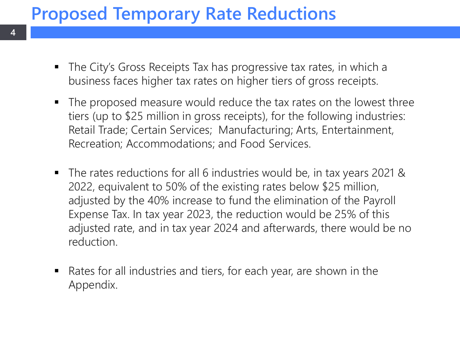# **Proposed Temporary Rate Reductions**

**4**

- The City's Gross Receipts Tax has progressive tax rates, in which a business faces higher tax rates on higher tiers of gross receipts.
- The proposed measure would reduce the tax rates on the lowest three tiers (up to \$25 million in gross receipts), for the following industries: Retail Trade; Certain Services; Manufacturing; Arts, Entertainment, Recreation; Accommodations; and Food Services.
- The rates reductions for all 6 industries would be, in tax years 2021 & 2022, equivalent to 50% of the existing rates below \$25 million, adjusted by the 40% increase to fund the elimination of the Payroll Expense Tax. In tax year 2023, the reduction would be 25% of this adjusted rate, and in tax year 2024 and afterwards, there would be no reduction.
- Rates for all industries and tiers, for each year, are shown in the Appendix.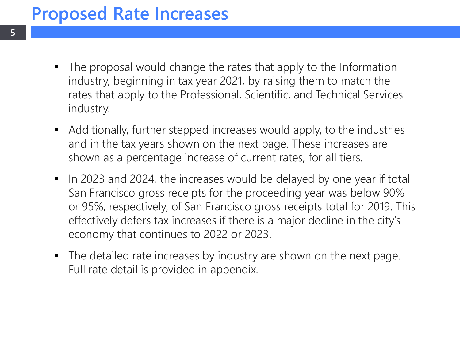#### **Proposed Rate Increases**

- The proposal would change the rates that apply to the Information industry, beginning in tax year 2021, by raising them to match the rates that apply to the Professional, Scientific, and Technical Services industry.
- Additionally, further stepped increases would apply, to the industries and in the tax years shown on the next page. These increases are shown as a percentage increase of current rates, for all tiers.
- In 2023 and 2024, the increases would be delayed by one year if total San Francisco gross receipts for the proceeding year was below 90% or 95%, respectively, of San Francisco gross receipts total for 2019. This effectively defers tax increases if there is a major decline in the city's economy that continues to 2022 or 2023.
- The detailed rate increases by industry are shown on the next page. Full rate detail is provided in appendix.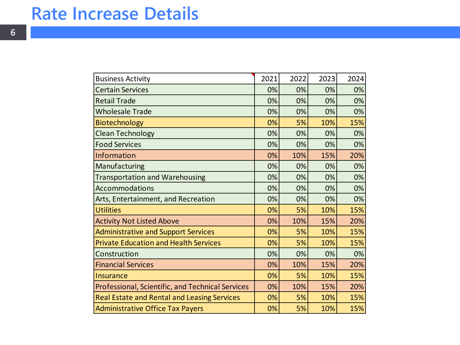#### **Rate Increase Details**

| <b>Business Activity</b>                           | 2021 | 2022 | 2023 | 2024 |
|----------------------------------------------------|------|------|------|------|
| <b>Certain Services</b>                            | 0%   | 0%   | 0%   | 0%   |
| <b>Retail Trade</b>                                | 0%   | 0%   | 0%   | 0%   |
| <b>Wholesale Trade</b>                             | 0%   | 0%   | 0%   | 0%   |
| <b>Biotechnology</b>                               | 0%   | 5%   | 10%  | 15%  |
| <b>Clean Technology</b>                            | 0%   | 0%   | 0%   | 0%   |
| <b>Food Services</b>                               | 0%   | 0%   | 0%   | 0%   |
| Information                                        | 0%   | 10%  | 15%  | 20%  |
| Manufacturing                                      | 0%   | 0%   | 0%   | 0%   |
| <b>Transportation and Warehousing</b>              | 0%   | 0%   | 0%   | 0%   |
| <b>Accommodations</b>                              | 0%   | 0%   | 0%   | 0%   |
| Arts, Entertainment, and Recreation                | 0%   | 0%   | 0%   | 0%   |
| <b>Utilities</b>                                   | 0%   | 5%   | 10%  | 15%  |
| <b>Activity Not Listed Above</b>                   | 0%   | 10%  | 15%  | 20%  |
| <b>Administrative and Support Services</b>         | 0%   | 5%   | 10%  | 15%  |
| <b>Private Education and Health Services</b>       | 0%   | 5%   | 10%  | 15%  |
| Construction                                       | 0%   | 0%   | 0%   | 0%   |
| <b>Financial Services</b>                          | 0%   | 10%  | 15%  | 20%  |
| Insurance                                          | 0%   | 5%   | 10%  | 15%  |
| Professional, Scientific, and Technical Services   | 0%   | 10%  | 15%  | 20%  |
| <b>Real Estate and Rental and Leasing Services</b> | 0%   | 5%   | 10%  | 15%  |
| <b>Administrative Office Tax Payers</b>            | 0%   | 5%   | 10%  | 15%  |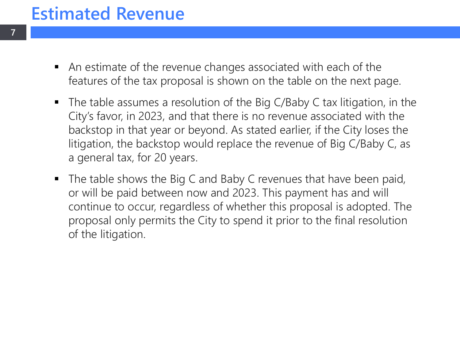### **Estimated Revenue**

**7**

- An estimate of the revenue changes associated with each of the features of the tax proposal is shown on the table on the next page.
- The table assumes a resolution of the Big C/Baby C tax litigation, in the City's favor, in 2023, and that there is no revenue associated with the backstop in that year or beyond. As stated earlier, if the City loses the litigation, the backstop would replace the revenue of Big C/Baby C, as a general tax, for 20 years.
- The table shows the Big C and Baby C revenues that have been paid, or will be paid between now and 2023. This payment has and will continue to occur, regardless of whether this proposal is adopted. The proposal only permits the City to spend it prior to the final resolution of the litigation.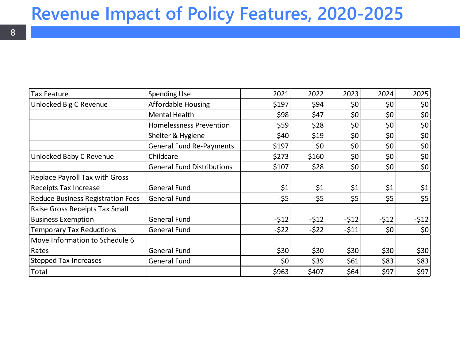### **Revenue Impact of Policy Features, 2020-2025**

| Tax Feature                              | <b>Spending Use</b>               | 2021   | 2022   | 2023   | 2024   | 2025                  |
|------------------------------------------|-----------------------------------|--------|--------|--------|--------|-----------------------|
| Unlocked Big C Revenue                   | <b>Affordable Housing</b>         | \$197  | \$94   | \$0    | \$0    | 50                    |
|                                          | Mental Health                     | \$98   | \$47   | \$0    | \$0    | 50                    |
|                                          | <b>Homelessness Prevention</b>    | \$59   | \$28   | \$0    | \$0    | 50                    |
|                                          | Shelter & Hygiene                 | \$40   | \$19   | \$0    | \$0    | 50                    |
|                                          | <b>General Fund Re-Payments</b>   | \$197  | \$0    | \$0    | \$0    | 50                    |
| Unlocked Baby C Revenue                  | Childcare                         | \$273  | \$160  | \$0    | \$0    | 50                    |
|                                          | <b>General Fund Distributions</b> | \$107  | \$28   | \$0    | \$0    | 50                    |
| <b>Replace Payroll Tax with Gross</b>    |                                   |        |        |        |        |                       |
| <b>Receipts Tax Increase</b>             | General Fund                      | \$1    | \$1    | \$1    | \$1    | $\vert \zeta_1 \vert$ |
| <b>Reduce Business Registration Fees</b> | <b>General Fund</b>               | $-55$  | $-55$  | $-55$  | $-55$  | $-55$                 |
| Raise Gross Receipts Tax Small           |                                   |        |        |        |        |                       |
| <b>Business Exemption</b>                | General Fund                      | $-512$ | $-512$ | $-512$ | $-512$ | $-512$                |
| <b>Temporary Tax Reductions</b>          | <b>General Fund</b>               | $-522$ | $-522$ | $-511$ | \$0    | 50                    |
| Move Information to Schedule 6           |                                   |        |        |        |        |                       |
| Rates                                    | <b>General Fund</b>               | \$30   | \$30   | \$30   | \$30   | \$30                  |
| <b>Stepped Tax Increases</b>             | <b>General Fund</b>               | \$0    | \$39   | \$61   | \$83   | \$83                  |
| Total                                    |                                   | \$963  | \$407  | \$64   | \$97   | \$97                  |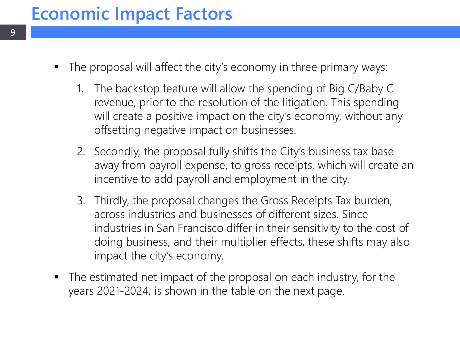# **Economic Impact Factors**

- The proposal will affect the city's economy in three primary ways:
	- 1. The backstop feature will allow the spending of Big C/Baby C revenue, prior to the resolution of the litigation. This spending will create a positive impact on the city's economy, without any offsetting negative impact on businesses.
	- 2. Secondly, the proposal fully shifts the City's business tax base away from payroll expense, to gross receipts, which will create an incentive to add payroll and employment in the city.
	- 3. Thirdly, the proposal changes the Gross Receipts Tax burden, across industries and businesses of different sizes. Since industries in San Francisco differ in their sensitivity to the cost of doing business, and their multiplier effects, these shifts may also impact the city's economy.
- The estimated net impact of the proposal on each industry, for the years 2021-2024, is shown in the table on the next page.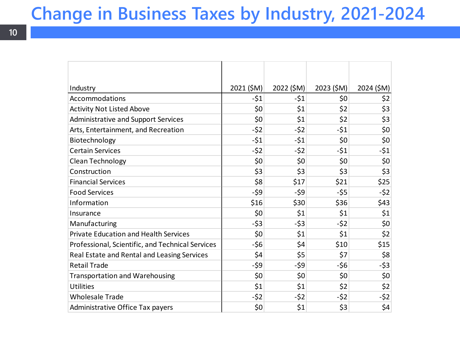# **Change in Business Taxes by Industry, 2021-2024**

| Industry                                         | 2021 (\$M) | 2022 (\$M) | 2023 (\$M) | 2024 (\$M) |
|--------------------------------------------------|------------|------------|------------|------------|
| Accommodations                                   | $-51$      | $-51$      | \$0        | \$2        |
| <b>Activity Not Listed Above</b>                 | \$0        | \$1        | \$2        | \$3        |
| <b>Administrative and Support Services</b>       | \$0        | \$1        | \$2        | \$3        |
| Arts, Entertainment, and Recreation              | $-52$      | $-52$      | $-51$      | \$0        |
| Biotechnology                                    | $-51$      | $-51$      | \$0        | \$0        |
| <b>Certain Services</b>                          | $-52$      | $-52$      | $-51$      | $-51$      |
| <b>Clean Technology</b>                          | \$0        | \$0        | \$0        | \$0        |
| Construction                                     | \$3        | \$3        | \$3        | \$3        |
| <b>Financial Services</b>                        | \$8        | \$17       | \$21       | \$25       |
| <b>Food Services</b>                             | $-59$      | -\$9       | $-55$      | $-52$      |
| Information                                      | \$16       | \$30       | \$36       | \$43       |
| Insurance                                        | \$0        | \$1        | \$1        | \$1        |
| Manufacturing                                    | $-53$      | $-53$      | $-52$      | \$0        |
| <b>Private Education and Health Services</b>     | \$0        | \$1        | \$1        | \$2        |
| Professional, Scientific, and Technical Services | $-56$      | \$4        | \$10       | \$15       |
| Real Estate and Rental and Leasing Services      | \$4        | \$5        | \$7        | \$8        |
| <b>Retail Trade</b>                              | -\$9       | -\$9       | $-56$      | $-53$      |
| <b>Transportation and Warehousing</b>            | \$0        | \$0        | \$0        | \$0        |
| <b>Utilities</b>                                 | \$1        | \$1        | \$2        | \$2        |
| <b>Wholesale Trade</b>                           | $-52$      | $-52$      | $-52$      | $-52$      |
| Administrative Office Tax payers                 | \$0        | \$1        | \$3        | \$4        |

**10**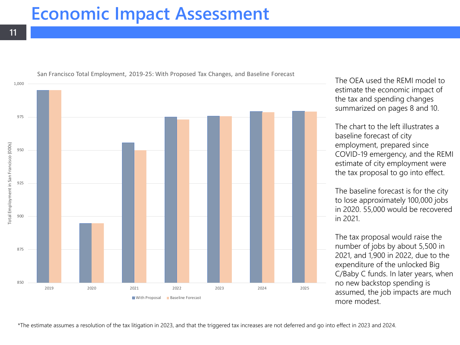#### **Economic Impact Assessment**



The OEA used the REMI model to estimate the economic impact of the tax and spending changes summarized on pages 8 and 10.

The chart to the left illustrates a baseline forecast of city employment, prepared since COVID-19 emergency, and the REMI estimate of city employment were the tax proposal to go into effect.

The baseline forecast is for the city to lose approximately 100,000 jobs in 2020. 55,000 would be recovered in 2021.

The tax proposal would raise the number of jobs by about 5,500 in 2021, and 1,900 in 2022, due to the expenditure of the unlocked Big C/Baby C funds. In later years, when no new backstop spending is assumed, the job impacts are much more modest.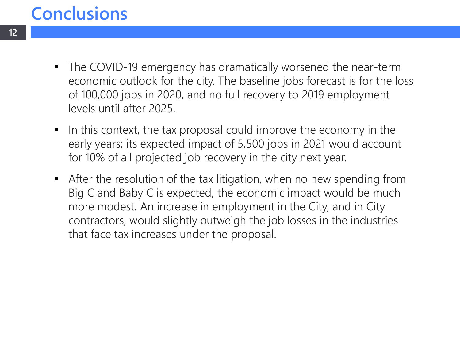# **Conclusions**

- The COVID-19 emergency has dramatically worsened the near-term economic outlook for the city. The baseline jobs forecast is for the loss of 100,000 jobs in 2020, and no full recovery to 2019 employment levels until after 2025.
- In this context, the tax proposal could improve the economy in the early years; its expected impact of 5,500 jobs in 2021 would account for 10% of all projected job recovery in the city next year.
- After the resolution of the tax litigation, when no new spending from Big C and Baby C is expected, the economic impact would be much more modest. An increase in employment in the City, and in City contractors, would slightly outweigh the job losses in the industries that face tax increases under the proposal.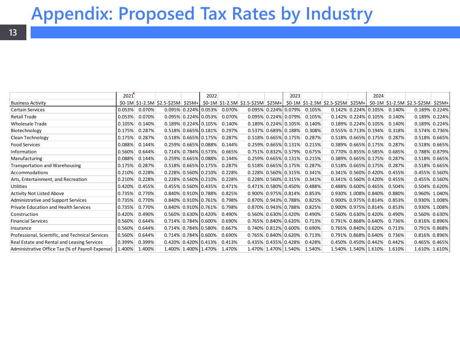#### **Appendix: Proposed Tax Rates by Industry**

|                                                         | 2021   |        |                      | 2022                    |        |                                                                                                          | 2023                    |        |  | 2024                    |        |                                    |               |
|---------------------------------------------------------|--------|--------|----------------------|-------------------------|--------|----------------------------------------------------------------------------------------------------------|-------------------------|--------|--|-------------------------|--------|------------------------------------|---------------|
| <b>Business Activity</b>                                |        |        |                      |                         |        | \$0-1M \$1-2.5M \$2.5-\$25M \$25M+ \$0-1M \$1-2.5M \$2.5-\$25M \$25M+ \$0-1M \$1-2.5M \$2.5-\$25M \$25M+ |                         |        |  |                         |        | \$0-1M \$1-2.5M \$2.5-\$25M \$25M+ |               |
| <b>Certain Services</b>                                 | 0.053% | 0.070% |                      | $0.095\%$ 0.224% 0.053% | 0.070% |                                                                                                          | $0.095\%$ 0.224% 0.079% | 0.105% |  | $0.142\%$ 0.224% 0.105% | 0.140% |                                    | 0.189% 0.224% |
| <b>Retail Trade</b>                                     | 0.053% | 0.070% |                      | 0.095% 0.224% 0.053%    | 0.070% |                                                                                                          | $0.095\%$ 0.224% 0.079% | 0.105% |  | $0.142\%$ 0.224% 0.105% | 0.140% |                                    | 0.189% 0.224% |
| <b>Wholesale Trade</b>                                  | 0.105% | 0.140% | 0.189% 0.224% 0.105% |                         | 0.140% |                                                                                                          | 0.189% 0.224% 0.105%    | 0.140% |  | 0.189% 0.224% 0.105%    | 0.140% |                                    | 0.189% 0.224% |
| Biotechnology                                           | 0.175% | 0.287% |                      | 0.518% 0.665% 0.181%    | 0.297% |                                                                                                          | $0.537\%$ 0.689% 0.188% | 0.308% |  | 0.555% 0.713% 0.194%    | 0.318% |                                    | 0.574% 0.736% |
| Clean Technology                                        | 0.175% | 0.287% | 0.518% 0.665% 0.175% |                         | 0.287% |                                                                                                          | $0.518\%$ 0.665% 0.175% | 0.287% |  | 0.518% 0.665% 0.175%    | 0.287% |                                    | 0.518% 0.665% |
| <b>Food Services</b>                                    | 0.088% | 0.144% | 0.259% 0.665% 0.088% |                         | 0.144% |                                                                                                          | $0.259\%$ 0.665% 0.131% | 0.215% |  | 0.389% 0.665% 0.175%    | 0.287% |                                    | 0.518% 0.665% |
| Information                                             | 0.560% | 0.644% | 0.714% 0.784% 0.573% |                         | 0.665% |                                                                                                          | 0.751% 0.832% 0.579%    | 0.675% |  | 0.770% 0.855% 0.585%    | 0.685% |                                    | 0.788% 0.879% |
| Manufacturing                                           | 0.088% | 0.144% | 0.259% 0.665% 0.088% |                         | 0.144% |                                                                                                          | $0.259\%$ 0.665% 0.131% | 0.215% |  | 0.389% 0.665% 0.175%    | 0.287% |                                    | 0.518% 0.665% |
| Transportation and Warehousing                          | 0.175% | 0.287% | 0.518% 0.665% 0.175% |                         | 0.287% |                                                                                                          | $0.518\%$ 0.665% 0.175% | 0.287% |  | 0.518% 0.665% 0.175%    | 0.287% |                                    | 0.518% 0.665% |
| Accommodations                                          | 0.210% | 0.228% | 0.228% 0.560% 0.210% |                         | 0.228% |                                                                                                          | $0.228\%$ 0.560% 0.315% | 0.341% |  | 0.341% 0.560% 0.420%    | 0.455% |                                    | 0.455% 0.560% |
| Arts, Entertainment, and Recreation                     | 0.210% | 0.228% | 0.228% 0.560% 0.210% |                         | 0.228% |                                                                                                          | 0.228% 0.560% 0.315%    | 0.341% |  | 0.341% 0.560% 0.420%    | 0.455% |                                    | 0.455% 0.560% |
| <b>Utilities</b>                                        | 0.420% | 0.455% | 0.455% 0.560% 0.435% |                         | 0.471% |                                                                                                          | 0.471% 0.580% 0.450%    | 0.488% |  | 0.488% 0.600% 0.465%    | 0.504% |                                    | 0.504% 0.620% |
| <b>Activity Not Listed Above</b>                        | 0.735% | 0.770% | 0.840% 0.910% 0.788% |                         | 0.825% |                                                                                                          | $0.900\%$ 0.975% 0.814% | 0.853% |  | 0.930% 1.008% 0.840%    | 0.880% |                                    | 0.960% 1.040% |
| <b>Administrative and Support Services</b>              | 0.735% | 0.770% | 0.840% 0.910% 0.761% |                         | 0.798% |                                                                                                          | 0.870% 0.943% 0.788%    | 0.825% |  | 0.900% 0.975% 0.814%    | 0.853% |                                    | 0.930% 1.008% |
| <b>Private Education and Health Services</b>            | 0.735% | 0.770% | 0.840% 0.910% 0.761% |                         | 0.798% |                                                                                                          | 0.870% 0.943% 0.788%    | 0.825% |  | 0.900% 0.975% 0.814%    | 0.853% |                                    | 0.930% 1.008% |
| Construction                                            | 0.420% | 0.490% | 0.560% 0.630% 0.420% |                         | 0.490% |                                                                                                          | 0.560% 0.630% 0.420%    | 0.490% |  | 0.560% 0.630% 0.420%    | 0.490% |                                    | 0.560% 0.630% |
| <b>Financial Services</b>                               | 0.560% | 0.644% | 0.714% 0.784% 0.600% |                         | 0.690% |                                                                                                          | 0.765% 0.840% 0.620%    | 0.713% |  | 0.791% 0.868% 0.640%    | 0.736% |                                    | 0.816% 0.896% |
| Insurance                                               | 0.560% | 0.644% | 0.714% 0.784% 0.580% |                         | 0.667% |                                                                                                          | $0.740\%$ 0.812% 0.600% | 0.690% |  | 0.765% 0.840% 0.620%    | 0.713% |                                    | 0.791% 0.868% |
| Professional, Scientific, and Technical Services        | 0.560% | 0.644% | 0.714% 0.784% 0.600% |                         | 0.690% |                                                                                                          | 0.765% 0.840% 0.620%    | 0.713% |  | 0.791% 0.868% 0.640%    | 0.736% |                                    | 0.816% 0.896% |
| Real Estate and Rental and Leasing Services             | 0.399% | 0.399% | 0.420% 0.420% 0.413% |                         | 0.413% |                                                                                                          | 0.435% 0.435% 0.428%    | 0.428% |  | 0.450% 0.450% 0.442%    | 0.442% |                                    | 0.465% 0.465% |
| Administrative Office Tax (% of Payroll Expense) 1.400% |        | 1.400% |                      | 1.400% 1.400% 1.470%    | 1.470% |                                                                                                          | 1.470% 1.470% 1.540%    | 1.540% |  | 1.540% 1.540% 1.610%    | 1.610% |                                    | 1.610% 1.610% |